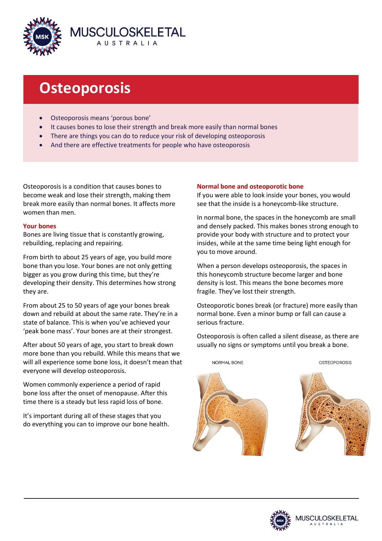

# **Osteoporosis**

- Osteoporosis means 'porous bone'
- It causes bones to lose their strength and break more easily than normal bones
- There are things you can do to reduce your risk of developing osteoporosis
- And there are effective treatments for people who have osteoporosis

Osteoporosis is a condition that causes bones to become weak and lose their strength, making them break more easily than normal bones. It affects more women than men.

# **Your bones**

Bones are living tissue that is constantly growing, rebuilding, replacing and repairing.

From birth to about 25 years of age, you build more bone than you lose. Your bones are not only getting bigger as you grow during this time, but they're developing their density. This determines how strong they are.

From about 25 to 50 years of age your bones break down and rebuild at about the same rate. They're in a state of balance. This is when you've achieved your 'peak bone mass'. Your bones are at their strongest.

After about 50 years of age, you start to break down more bone than you rebuild. While this means that we will all experience some bone loss, it doesn't mean that everyone will develop osteoporosis.

Women commonly experience a period of rapid bone loss after the onset of menopause. After this time there is a steady but less rapid loss of bone.

It's important during all of these stages that you do everything you can to improve our bone health.

# **Normal bone and osteoporotic bone**

If you were able to look inside your bones, you would see that the inside is a honeycomb-like structure.

In normal bone, the spaces in the honeycomb are small and densely packed. This makes bones strong enough to provide your body with structure and to protect your insides, while at the same time being light enough for you to move around.

When a person develops osteoporosis, the spaces in this honeycomb structure become larger and bone density is lost. This means the bone becomes more fragile. They've lost their strength.

Osteoporotic bones break (or fracture) more easily than normal bone. Even a minor bump or fall can cause a serious fracture.

Osteoporosis is often called a silent disease, as there are usually no signs or symptoms until you break a bone.



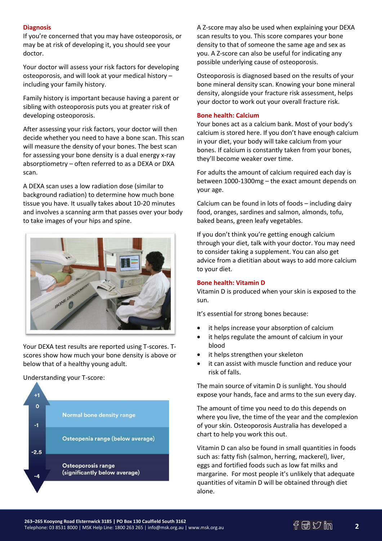# **Diagnosis**

If you're concerned that you may have osteoporosis, or may be at risk of developing it, you should see your doctor.

Your doctor will assess your risk factors for developing osteoporosis, and will look at your medical history – including your family history.

Family history is important because having a parent or sibling with osteoporosis puts you at greater risk of developing osteoporosis.

After assessing your risk factors, your doctor will then decide whether you need to have a bone scan. This scan will measure the density of your bones. The best scan for assessing your bone density is a dual energy x-ray absorptiometry – often referred to as a DEXA or DXA scan.

A DEXA scan uses a low radiation dose (similar to background radiation) to determine how much bone tissue you have. It usually takes about 10-20 minutes and involves a scanning arm that passes over your body to take images of your hips and spine.



Your DEXA test results are reported using T-scores. Tscores show how much your bone density is above or below that of a healthy young adult.

Understanding your T-score:



A Z-score may also be used when explaining your DEXA scan results to you. This score compares your bone density to that of someone the same age and sex as you. A Z-score can also be useful for indicating any possible underlying cause of osteoporosis.

Osteoporosis is diagnosed based on the results of your bone mineral density scan. Knowing your bone mineral density, alongside your fracture risk assessment, helps your doctor to work out your overall fracture risk.

## **Bone health: Calcium**

Your bones act as a calcium bank. Most of your body's calcium is stored here. If you don't have enough calcium in your diet, your body will take calcium from your bones. If calcium is constantly taken from your bones, they'll become weaker over time.

For adults the amount of calcium required each day is between 1000-1300mg – the exact amount depends on your age.

Calcium can be found in lots of foods – including dairy food, oranges, sardines and salmon, almonds, tofu, baked beans, green leafy vegetables.

If you don't think you're getting enough calcium through your diet, talk with your doctor. You may need to consider taking a supplement. You can also get advice from a dietitian about ways to add more calcium to your diet.

## **Bone health: Vitamin D**

Vitamin D is produced when your skin is exposed to the sun.

It's essential for strong bones because:

- it helps increase your absorption of calcium
- it helps regulate the amount of calcium in your blood
- it helps strengthen your skeleton
- it can assist with muscle function and reduce your risk of falls.

The main source of vitamin D is sunlight. You should expose your hands, face and arms to the sun every day.

The amount of time you need to do this depends on where you live, the time of the year and the complexion of your skin. Osteoporosis Australia has developed a chart to help you work this out.

Vitamin D can also be found in small quantities in foods such as: fatty fish (salmon, herring, mackerel), liver, eggs and fortified foods such as low fat milks and margarine. For most people it's unlikely that adequate quantities of vitamin D will be obtained through diet alone.

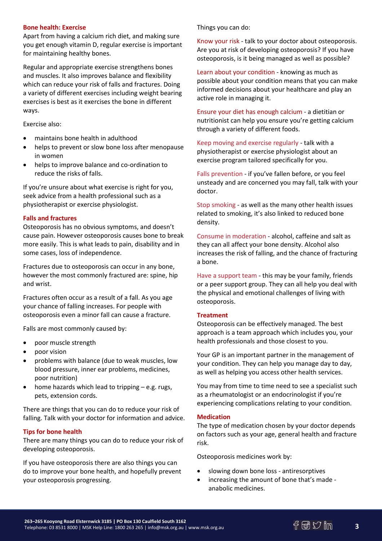## **Bone health: Exercise**

Apart from having a calcium rich diet, and making sure you get enough vitamin D, regular exercise is important for maintaining healthy bones.

Regular and appropriate exercise strengthens bones and muscles. It also improves balance and flexibility which can reduce your risk of falls and fractures. Doing a variety of different exercises including weight bearing exercises is best as it exercises the bone in different ways.

Exercise also:

- maintains bone health in adulthood
- helps to prevent or slow bone loss after menopause in women
- helps to improve balance and co-ordination to reduce the risks of falls.

If you're unsure about what exercise is right for you, seek advice from a health professional such as a physiotherapist or exercise physiologist.

## **Falls and fractures**

Osteoporosis has no obvious symptoms, and doesn't cause pain. However osteoporosis causes bone to break more easily. This is what leads to pain, disability and in some cases, loss of independence.

Fractures due to osteoporosis can occur in any bone, however the most commonly fractured are: spine, hip and wrist.

Fractures often occur as a result of a fall. As you age your chance of falling increases. For people with osteoporosis even a minor fall can cause a fracture.

Falls are most commonly caused by:

- poor muscle strength
- poor vision
- problems with balance (due to weak muscles, low blood pressure, inner ear problems, medicines, poor nutrition)
- home hazards which lead to tripping e.g. rugs, pets, extension cords.

There are things that you can do to reduce your risk of falling. Talk with your doctor for information and advice.

### **Tips for bone health**

There are many things you can do to reduce your risk of developing osteoporosis.

If you have osteoporosis there are also things you can do to improve your bone health, and hopefully prevent your osteoporosis progressing.

Things you can do:

Know your risk - talk to your doctor about osteoporosis. Are you at risk of developing osteoporosis? If you have osteoporosis, is it being managed as well as possible?

Learn about your condition - knowing as much as possible about your condition means that you can make informed decisions about your healthcare and play an active role in managing it.

Ensure your diet has enough calcium - a dietitian or nutritionist can help you ensure you're getting calcium through a variety of different foods.

Keep moving and exercise regularly - talk with a physiotherapist or exercise physiologist about an exercise program tailored specifically for you.

Falls prevention - if you've fallen before, or you feel unsteady and are concerned you may fall, talk with your doctor.

Stop smoking - as well as the many other health issues related to smoking, it's also linked to reduced bone density.

Consume in moderation - alcohol, caffeine and salt as they can all affect your bone density. Alcohol also increases the risk of falling, and the chance of fracturing a bone.

Have a support team - this may be your family, friends or a peer support group. They can all help you deal with the physical and emotional challenges of living with osteoporosis.

### **Treatment**

Osteoporosis can be effectively managed. The best approach is a team approach which includes you, your health professionals and those closest to you.

Your GP is an important partner in the management of your condition. They can help you manage day to day, as well as helping you access other health services.

You may from time to time need to see a specialist such as a rheumatologist or an endocrinologist if you're experiencing complications relating to your condition.

### **Medication**

The type of medication chosen by your doctor depends on factors such as your age, general health and fracture risk.

Osteoporosis medicines work by:

- slowing down bone loss antiresorptives
- increasing the amount of bone that's made anabolic medicines.

**3**